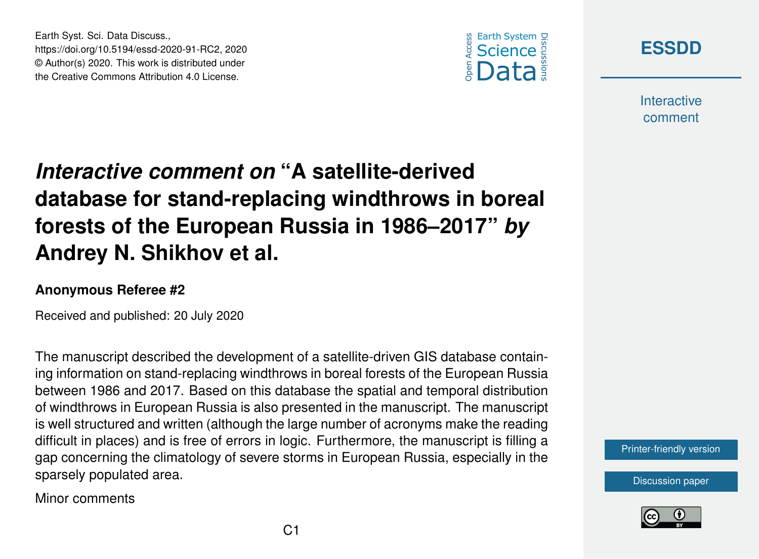



**Interactive** comment

## *Interactive comment on* **"A satellite-derived database for stand-replacing windthrows in boreal forests of the European Russia in 1986–2017"** *by* **Andrey N. Shikhov et al.**

## **Anonymous Referee #2**

Earth Syst. Sci. Data Discuss.,

https://doi.org/10.5194/essd-2020-91-RC2, 2020 © Author(s) 2020. This work is distributed under the Creative Commons Attribution 4.0 License.

Received and published: 20 July 2020

The manuscript described the development of a satellite-driven GIS database containing information on stand-replacing windthrows in boreal forests of the European Russia between 1986 and 2017. Based on this database the spatial and temporal distribution of windthrows in European Russia is also presented in the manuscript. The manuscript is well structured and written (although the large number of acronyms make the reading difficult in places) and is free of errors in logic. Furthermore, the manuscript is filling a gap concerning the climatology of severe storms in European Russia, especially in the sparsely populated area.

Minor comments



[Discussion paper](https://essd.copernicus.org/preprints/essd-2020-91)

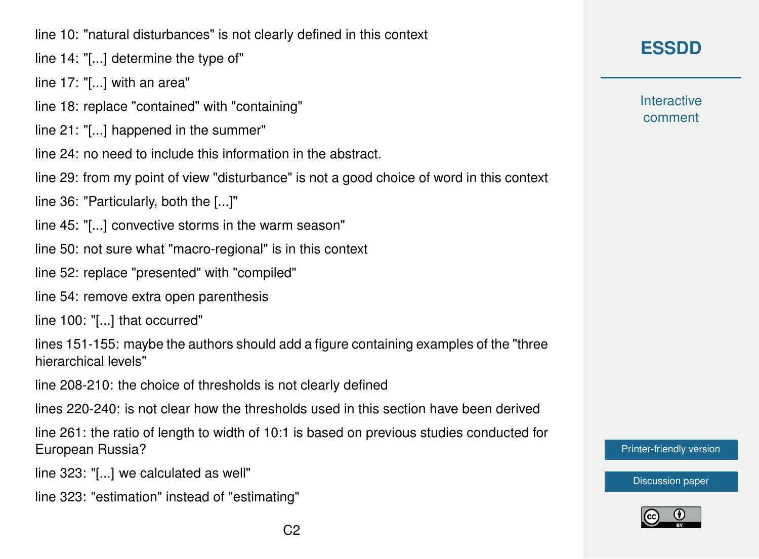line 10: "natural disturbances" is not clearly defined in this context

line 14: "[...] determine the type of"

line 17: "[...] with an area"

- line 18: replace "contained" with "containing"
- line 21: "[...] happened in the summer"
- line 24: no need to include this information in the abstract.
- line 29: from my point of view "disturbance" is not a good choice of word in this context
- line 36: "Particularly, both the [...]"
- line 45: "[...] convective storms in the warm season"
- line 50: not sure what "macro-regional" is in this context
- line 52: replace "presented" with "compiled"
- line 54: remove extra open parenthesis
- line 100: "[...] that occurred"

lines 151-155: maybe the authors should add a figure containing examples of the "three hierarchical levels"

line 208-210: the choice of thresholds is not clearly defined

lines 220-240: is not clear how the thresholds used in this section have been derived

line 261: the ratio of length to width of 10:1 is based on previous studies conducted for European Russia?

line 323: "[...] we calculated as well"

line 323: "estimation" instead of "estimating"

**Interactive** comment

[Printer-friendly version](https://essd.copernicus.org/preprints/essd-2020-91/essd-2020-91-RC2-print.pdf)

[Discussion paper](https://essd.copernicus.org/preprints/essd-2020-91)